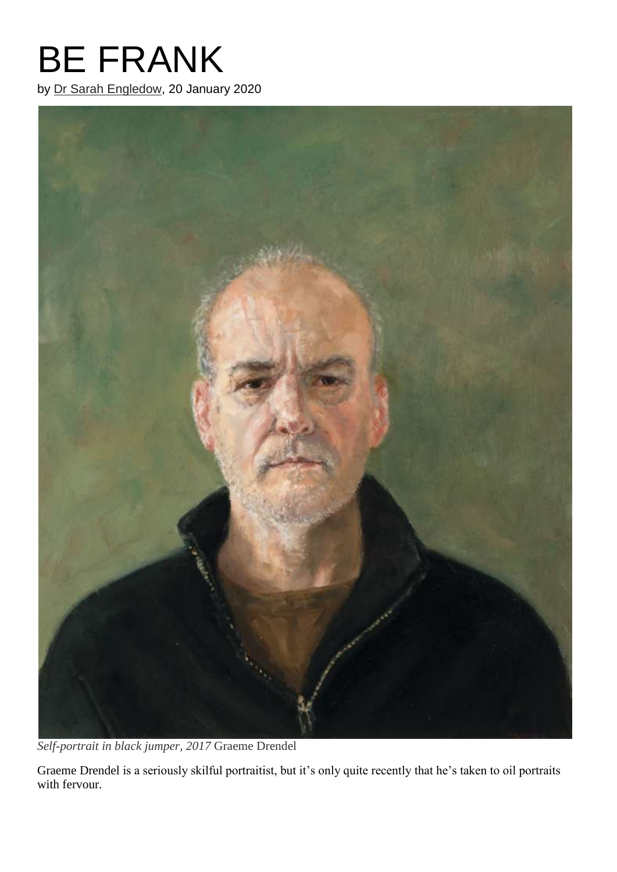## BE FRANK

by Dr Sarah [Engledow,](https://www.portrait.gov.au/people/sarah-engledow) 20 January 2020



*Self-portrait in black jumper, 2017* Graeme Drendel

Graeme Drendel is a seriously skilful portraitist, but it's only quite recently that he's taken to oil portraits with fervour.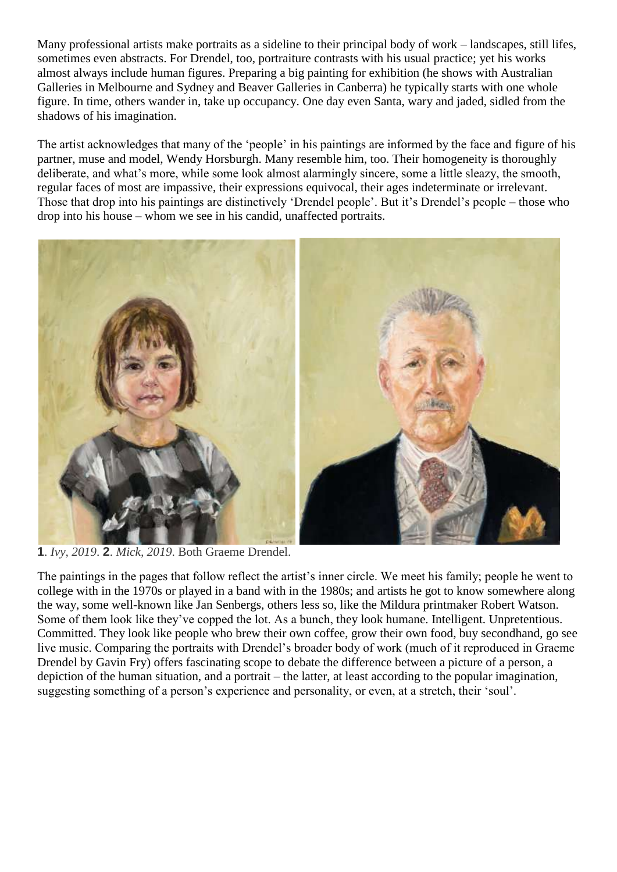Many professional artists make portraits as a sideline to their principal body of work – landscapes, still lifes, sometimes even abstracts. For Drendel, too, portraiture contrasts with his usual practice; yet his works almost always include human figures. Preparing a big painting for exhibition (he shows with Australian Galleries in Melbourne and Sydney and Beaver Galleries in Canberra) he typically starts with one whole figure. In time, others wander in, take up occupancy. One day even Santa, wary and jaded, sidled from the shadows of his imagination.

The artist acknowledges that many of the 'people' in his paintings are informed by the face and figure of his partner, muse and model, Wendy Horsburgh. Many resemble him, too. Their homogeneity is thoroughly deliberate, and what's more, while some look almost alarmingly sincere, some a little sleazy, the smooth, regular faces of most are impassive, their expressions equivocal, their ages indeterminate or irrelevant. Those that drop into his paintings are distinctively 'Drendel people'. But it's Drendel's people – those who drop into his house – whom we see in his candid, unaffected portraits.



**1**. *Ivy, 2019*. **2**. *Mick, 2019*. Both Graeme Drendel.

The paintings in the pages that follow reflect the artist's inner circle. We meet his family; people he went to college with in the 1970s or played in a band with in the 1980s; and artists he got to know somewhere along the way, some well-known like Jan Senbergs, others less so, like the Mildura printmaker Robert Watson. Some of them look like they've copped the lot. As a bunch, they look humane. Intelligent. Unpretentious. Committed. They look like people who brew their own coffee, grow their own food, buy secondhand, go see live music. Comparing the portraits with Drendel's broader body of work (much of it reproduced in Graeme Drendel by Gavin Fry) offers fascinating scope to debate the difference between a picture of a person, a depiction of the human situation, and a portrait – the latter, at least according to the popular imagination, suggesting something of a person's experience and personality, or even, at a stretch, their 'soul'.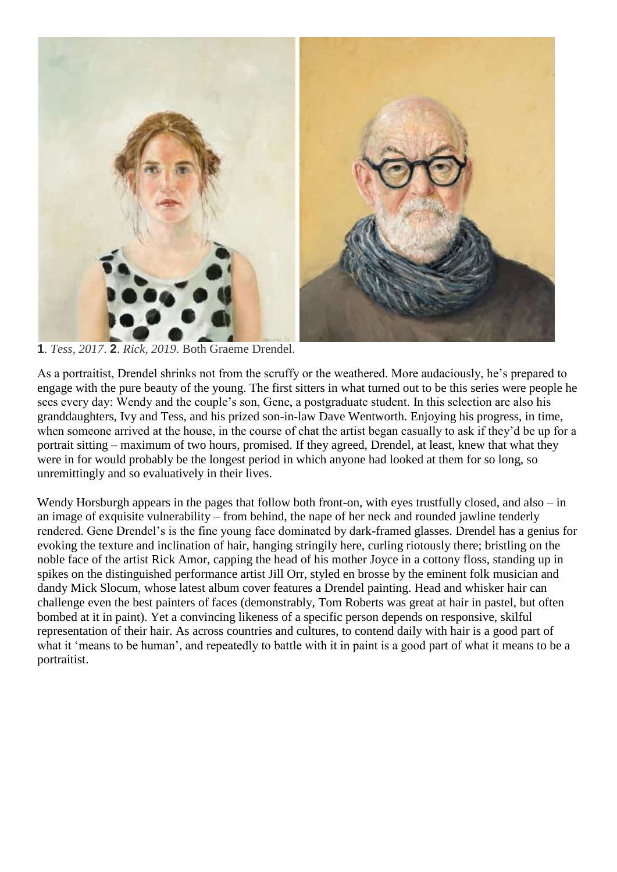

**1**. *Tess, 2017*. **2**. *Rick, 2019*. Both Graeme Drendel.

As a portraitist, Drendel shrinks not from the scruffy or the weathered. More audaciously, he's prepared to engage with the pure beauty of the young. The first sitters in what turned out to be this series were people he sees every day: Wendy and the couple's son, Gene, a postgraduate student. In this selection are also his granddaughters, Ivy and Tess, and his prized son-in-law Dave Wentworth. Enjoying his progress, in time, when someone arrived at the house, in the course of chat the artist began casually to ask if they'd be up for a portrait sitting – maximum of two hours, promised. If they agreed, Drendel, at least, knew that what they were in for would probably be the longest period in which anyone had looked at them for so long, so unremittingly and so evaluatively in their lives.

Wendy Horsburgh appears in the pages that follow both front-on, with eyes trustfully closed, and also – in an image of exquisite vulnerability – from behind, the nape of her neck and rounded jawline tenderly rendered. Gene Drendel's is the fine young face dominated by dark-framed glasses. Drendel has a genius for evoking the texture and inclination of hair, hanging stringily here, curling riotously there; bristling on the noble face of the artist Rick Amor, capping the head of his mother Joyce in a cottony floss, standing up in spikes on the distinguished performance artist Jill Orr, styled en brosse by the eminent folk musician and dandy Mick Slocum, whose latest album cover features a Drendel painting. Head and whisker hair can challenge even the best painters of faces (demonstrably, Tom Roberts was great at hair in pastel, but often bombed at it in paint). Yet a convincing likeness of a specific person depends on responsive, skilful representation of their hair. As across countries and cultures, to contend daily with hair is a good part of what it 'means to be human', and repeatedly to battle with it in paint is a good part of what it means to be a portraitist.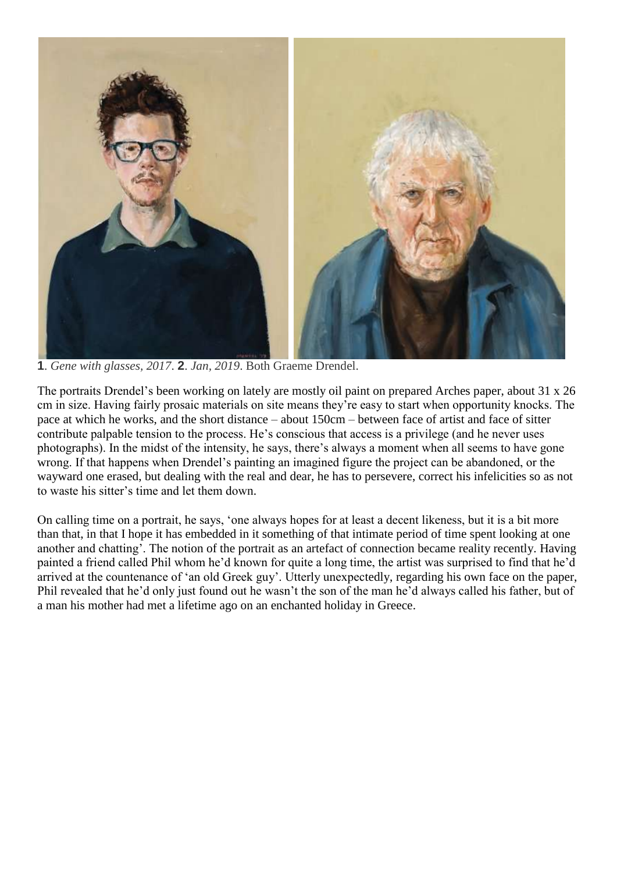

**1**. *Gene with glasses, 2017*. **2**. *Jan, 2019*. Both Graeme Drendel.

The portraits Drendel's been working on lately are mostly oil paint on prepared Arches paper, about 31 x 26 cm in size. Having fairly prosaic materials on site means they're easy to start when opportunity knocks. The pace at which he works, and the short distance – about 150cm – between face of artist and face of sitter contribute palpable tension to the process. He's conscious that access is a privilege (and he never uses photographs). In the midst of the intensity, he says, there's always a moment when all seems to have gone wrong. If that happens when Drendel's painting an imagined figure the project can be abandoned, or the wayward one erased, but dealing with the real and dear, he has to persevere, correct his infelicities so as not to waste his sitter's time and let them down.

On calling time on a portrait, he says, 'one always hopes for at least a decent likeness, but it is a bit more than that, in that I hope it has embedded in it something of that intimate period of time spent looking at one another and chatting'. The notion of the portrait as an artefact of connection became reality recently. Having painted a friend called Phil whom he'd known for quite a long time, the artist was surprised to find that he'd arrived at the countenance of 'an old Greek guy'. Utterly unexpectedly, regarding his own face on the paper, Phil revealed that he'd only just found out he wasn't the son of the man he'd always called his father, but of a man his mother had met a lifetime ago on an enchanted holiday in Greece.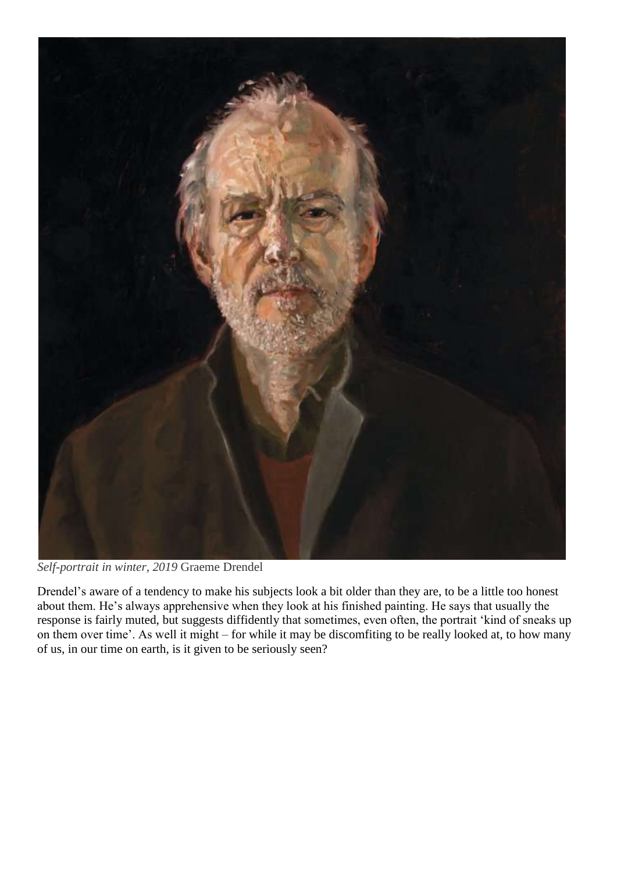

*Self-portrait in winter, 2019* Graeme Drendel

Drendel's aware of a tendency to make his subjects look a bit older than they are, to be a little too honest about them. He's always apprehensive when they look at his finished painting. He says that usually the response is fairly muted, but suggests diffidently that sometimes, even often, the portrait 'kind of sneaks up on them over time'. As well it might – for while it may be discomfiting to be really looked at, to how many of us, in our time on earth, is it given to be seriously seen?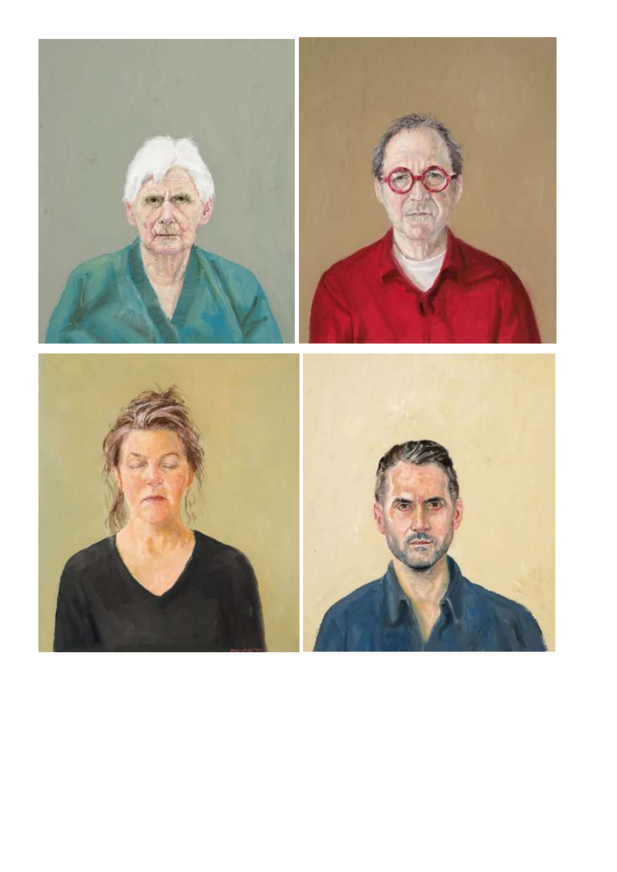